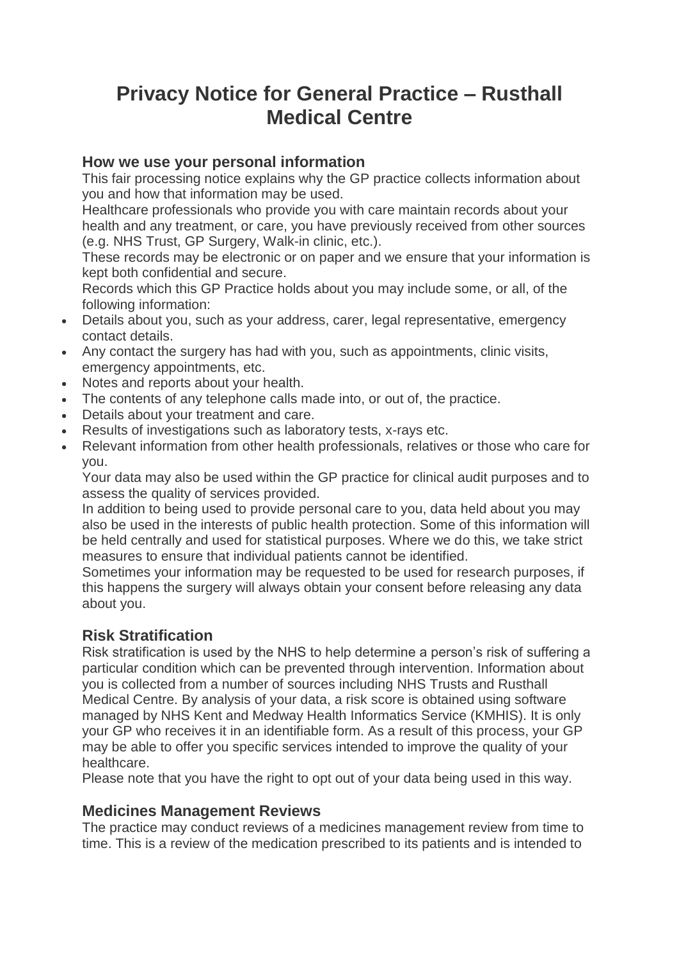# **Privacy Notice for General Practice – Rusthall Medical Centre**

#### **How we use your personal information**

This fair processing notice explains why the GP practice collects information about you and how that information may be used.

Healthcare professionals who provide you with care maintain records about your health and any treatment, or care, you have previously received from other sources (e.g. NHS Trust, GP Surgery, Walk-in clinic, etc.).

These records may be electronic or on paper and we ensure that your information is kept both confidential and secure.

Records which this GP Practice holds about you may include some, or all, of the following information:

- Details about you, such as your address, carer, legal representative, emergency contact details.
- Any contact the surgery has had with you, such as appointments, clinic visits, emergency appointments, etc.
- Notes and reports about your health.
- The contents of any telephone calls made into, or out of, the practice.
- Details about your treatment and care.
- Results of investigations such as laboratory tests, x-rays etc.
- Relevant information from other health professionals, relatives or those who care for you.

Your data may also be used within the GP practice for clinical audit purposes and to assess the quality of services provided.

In addition to being used to provide personal care to you, data held about you may also be used in the interests of public health protection. Some of this information will be held centrally and used for statistical purposes. Where we do this, we take strict measures to ensure that individual patients cannot be identified.

Sometimes your information may be requested to be used for research purposes, if this happens the surgery will always obtain your consent before releasing any data about you.

#### **Risk Stratification**

Risk stratification is used by the NHS to help determine a person's risk of suffering a particular condition which can be prevented through intervention. Information about you is collected from a number of sources including NHS Trusts and Rusthall Medical Centre. By analysis of your data, a risk score is obtained using software managed by NHS Kent and Medway Health Informatics Service (KMHIS). It is only your GP who receives it in an identifiable form. As a result of this process, your GP may be able to offer you specific services intended to improve the quality of your healthcare.

Please note that you have the right to opt out of your data being used in this way.

#### **Medicines Management Reviews**

The practice may conduct reviews of a medicines management review from time to time. This is a review of the medication prescribed to its patients and is intended to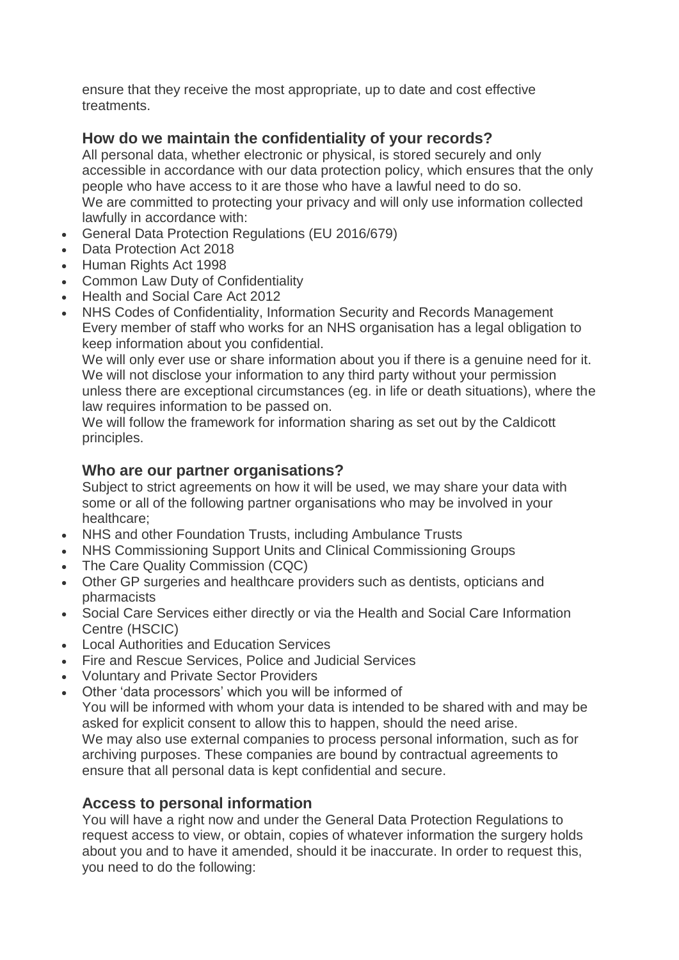ensure that they receive the most appropriate, up to date and cost effective treatments.

# **How do we maintain the confidentiality of your records?**

All personal data, whether electronic or physical, is stored securely and only accessible in accordance with our data protection policy, which ensures that the only people who have access to it are those who have a lawful need to do so. We are committed to protecting your privacy and will only use information collected lawfully in accordance with:

- General Data Protection Regulations (EU 2016/679)
- Data Protection Act 2018
- Human Rights Act 1998
- Common Law Duty of Confidentiality
- Health and Social Care Act 2012
- NHS Codes of Confidentiality, Information Security and Records Management Every member of staff who works for an NHS organisation has a legal obligation to keep information about you confidential.

We will only ever use or share information about you if there is a genuine need for it. We will not disclose your information to any third party without your permission unless there are exceptional circumstances (eg. in life or death situations), where the law requires information to be passed on.

We will follow the framework for information sharing as set out by the Caldicott principles.

# **Who are our partner organisations?**

Subject to strict agreements on how it will be used, we may share your data with some or all of the following partner organisations who may be involved in your healthcare;

- NHS and other Foundation Trusts, including Ambulance Trusts
- NHS Commissioning Support Units and Clinical Commissioning Groups
- The Care Quality Commission (CQC)
- Other GP surgeries and healthcare providers such as dentists, opticians and pharmacists
- Social Care Services either directly or via the Health and Social Care Information Centre (HSCIC)
- Local Authorities and Education Services
- Fire and Rescue Services, Police and Judicial Services
- Voluntary and Private Sector Providers
- Other 'data processors' which you will be informed of You will be informed with whom your data is intended to be shared with and may be asked for explicit consent to allow this to happen, should the need arise. We may also use external companies to process personal information, such as for archiving purposes. These companies are bound by contractual agreements to ensure that all personal data is kept confidential and secure.

#### **Access to personal information**

You will have a right now and under the General Data Protection Regulations to request access to view, or obtain, copies of whatever information the surgery holds about you and to have it amended, should it be inaccurate. In order to request this, you need to do the following: